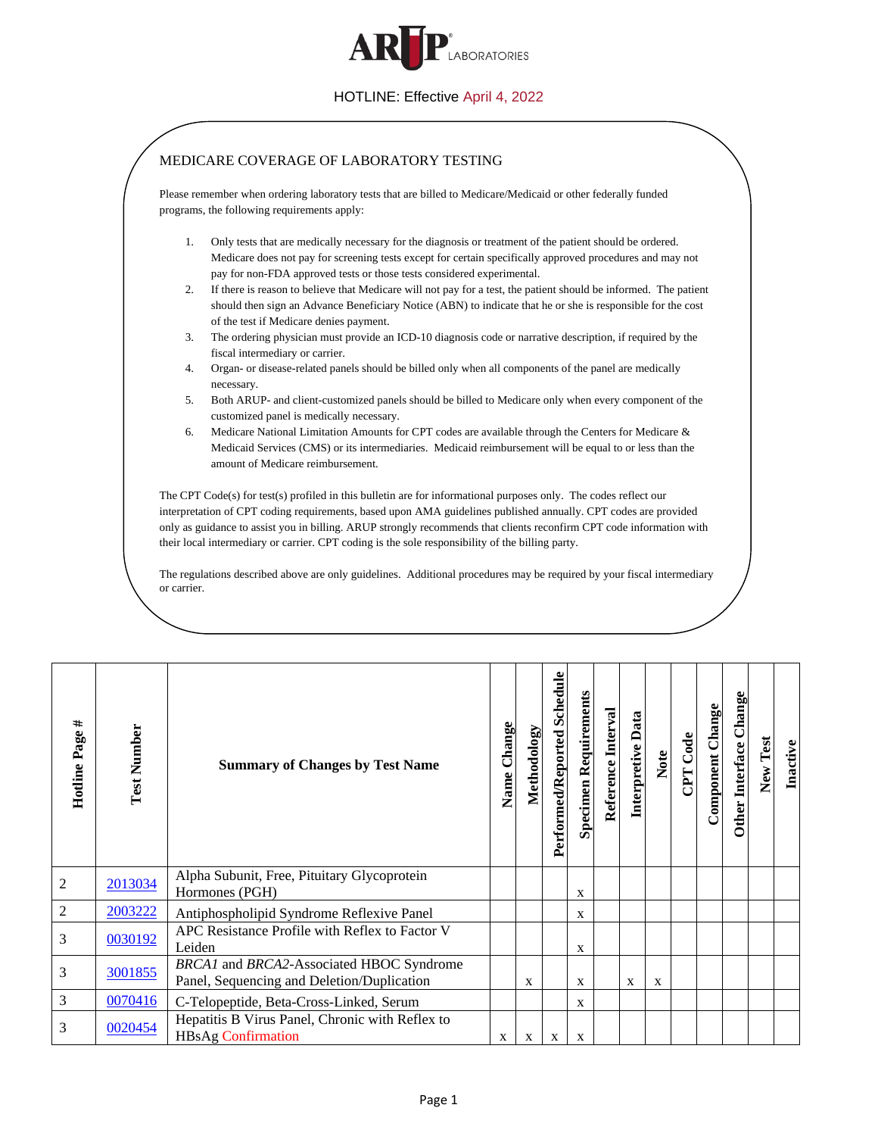

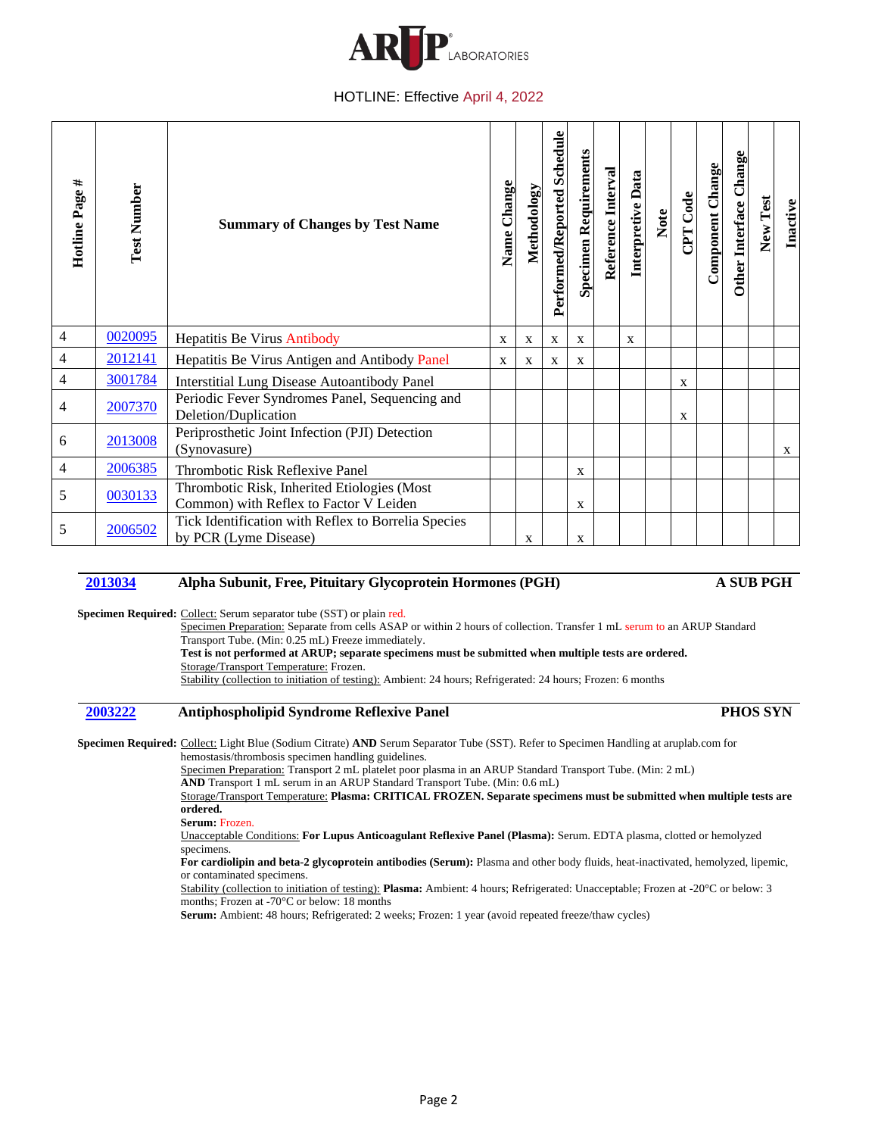

| #<br>Hotline Page | <b>Test Number</b> | <b>Summary of Changes by Test Name</b>                                                | Change<br>Name | Methodology  | Performed/Reported Schedule | <b>Specimen Requirements</b> | Reference Interval | Interpretive Data | Note | <b>Code</b>  | Component Change | Other Interface Change | New Test | Inactive |
|-------------------|--------------------|---------------------------------------------------------------------------------------|----------------|--------------|-----------------------------|------------------------------|--------------------|-------------------|------|--------------|------------------|------------------------|----------|----------|
| 4                 | 0020095            | Hepatitis Be Virus Antibody                                                           | $\mathbf{X}$   | X            | X                           | X                            |                    | X                 |      |              |                  |                        |          |          |
| 4                 | 2012141            | Hepatitis Be Virus Antigen and Antibody Panel                                         | $\mathbf{X}$   | $\mathbf{X}$ | X                           | X                            |                    |                   |      |              |                  |                        |          |          |
| 4                 | 3001784            | <b>Interstitial Lung Disease Autoantibody Panel</b>                                   |                |              |                             |                              |                    |                   |      | $\mathbf{X}$ |                  |                        |          |          |
| 4                 | 2007370            | Periodic Fever Syndromes Panel, Sequencing and<br>Deletion/Duplication                |                |              |                             |                              |                    |                   |      | X            |                  |                        |          |          |
| 6                 | 2013008            | Periprosthetic Joint Infection (PJI) Detection<br>(Synovasure)                        |                |              |                             |                              |                    |                   |      |              |                  |                        |          | X        |
| 4                 | 2006385            | Thrombotic Risk Reflexive Panel                                                       |                |              |                             | $\mathbf X$                  |                    |                   |      |              |                  |                        |          |          |
| 5                 | 0030133            | Thrombotic Risk, Inherited Etiologies (Most<br>Common) with Reflex to Factor V Leiden |                |              |                             | X                            |                    |                   |      |              |                  |                        |          |          |
| 5                 | 2006502            | Tick Identification with Reflex to Borrelia Species<br>by PCR (Lyme Disease)          |                | X            |                             | X                            |                    |                   |      |              |                  |                        |          |          |

## **2013034 Alpha Subunit, Free, Pituitary Glycoprotein Hormones (PGH) A SUB PGH**

Specimen Required: Collect: Serum separator tube (SST) or plain red.

Specimen Preparation: Separate from cells ASAP or within 2 hours of collection. Transfer 1 mL serum to an ARUP Standard Transport Tube. (Min: 0.25 mL) Freeze immediately. **Test is not performed at ARUP; separate specimens must be submitted when multiple tests are ordered.** Storage/Transport Temperature: Frozen. Stability (collection to initiation of testing): Ambient: 24 hours; Refrigerated: 24 hours; Frozen: 6 months

### **2003222 Antiphospholipid Syndrome Reflexive Panel PHOS SYN**

**Specimen Required:** Collect: Light Blue (Sodium Citrate) **AND** Serum Separator Tube (SST). Refer to Specimen Handling at aruplab.com for hemostasis/thrombosis specimen handling guidelines.

Specimen Preparation: Transport 2 mL platelet poor plasma in an ARUP Standard Transport Tube. (Min: 2 mL) **AND** Transport 1 mL serum in an ARUP Standard Transport Tube. (Min: 0.6 mL)

Storage/Transport Temperature: **Plasma: CRITICAL FROZEN. Separate specimens must be submitted when multiple tests are ordered.**

**Serum:** Frozen.

Unacceptable Conditions: **For Lupus Anticoagulant Reflexive Panel (Plasma):** Serum. EDTA plasma, clotted or hemolyzed specimens.

**For cardiolipin and beta-2 glycoprotein antibodies (Serum):** Plasma and other body fluids, heat-inactivated, hemolyzed, lipemic, or contaminated specimens.

Stability (collection to initiation of testing): **Plasma:** Ambient: 4 hours; Refrigerated: Unacceptable; Frozen at -20°C or below: 3 months; Frozen at -70°C or below: 18 months

**Serum:** Ambient: 48 hours; Refrigerated: 2 weeks; Frozen: 1 year (avoid repeated freeze/thaw cycles)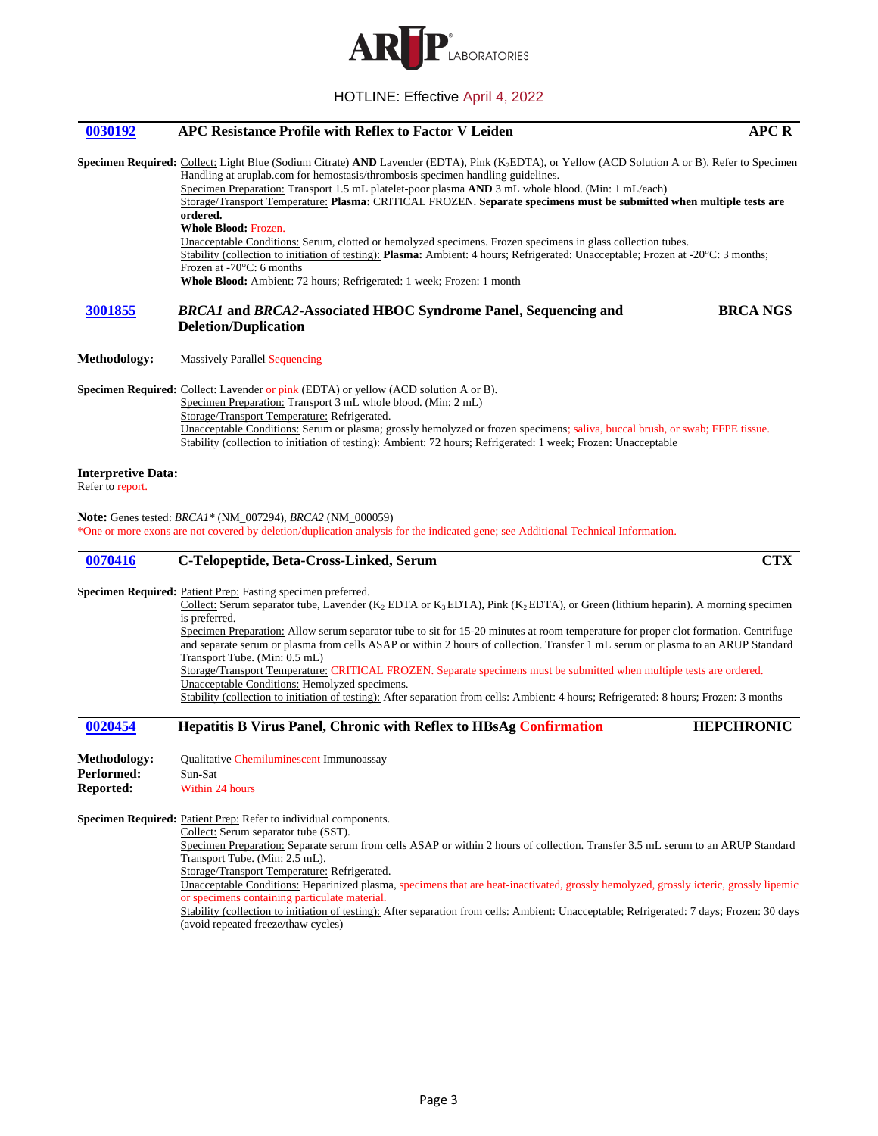

# **0030192 APC Resistance Profile with Reflex to Factor V Leiden APC R Specimen Required:** Collect: Light Blue (Sodium Citrate) **AND** Lavender (EDTA), Pink (K2EDTA), or Yellow (ACD Solution A or B). Refer to Specimen Handling at aruplab.com for hemostasis/thrombosis specimen handling guidelines. Specimen Preparation: Transport 1.5 mL platelet-poor plasma **AND** 3 mL whole blood. (Min: 1 mL/each) Storage/Transport Temperature: **Plasma:** CRITICAL FROZEN. **Separate specimens must be submitted when multiple tests are ordered. Whole Blood:** Frozen. Unacceptable Conditions: Serum, clotted or hemolyzed specimens. Frozen specimens in glass collection tubes. Stability (collection to initiation of testing): **Plasma:** Ambient: 4 hours; Refrigerated: Unacceptable; Frozen at -20°C: 3 months; Frozen at -70°C: 6 months **Whole Blood:** Ambient: 72 hours; Refrigerated: 1 week; Frozen: 1 month **3001855** *BRCA1* **and** *BRCA2***-Associated HBOC Syndrome Panel, Sequencing and Deletion/Duplication BRCA NGS Methodology:** Massively Parallel Sequencing **Specimen Required:** Collect: Lavender or pink (EDTA) or yellow (ACD solution A or B). Specimen Preparation: Transport 3 mL whole blood. (Min: 2 mL) Storage/Transport Temperature: Refrigerated. Unacceptable Conditions: Serum or plasma; grossly hemolyzed or frozen specimens; saliva, buccal brush, or swab; FFPE tissue. Stability (collection to initiation of testing): Ambient: 72 hours; Refrigerated: 1 week; Frozen: Unacceptable **Interpretive Data:** Refer to report. **Note:** Genes tested: *BRCA1\** (NM\_007294), *BRCA2* (NM\_000059) \*One or more exons are not covered by deletion/duplication analysis for the indicated gene; see Additional Technical Information. **0070416 C-Telopeptide, Beta-Cross-Linked, Serum CTX** Specimen Required: Patient Prep: Fasting specimen preferred. Collect: Serum separator tube, Lavender (K<sub>2</sub> EDTA or K<sub>3</sub> EDTA), Pink (K<sub>2</sub> EDTA), or Green (lithium heparin). A morning specimen is preferred. Specimen Preparation: Allow serum separator tube to sit for 15-20 minutes at room temperature for proper clot formation. Centrifuge and separate serum or plasma from cells ASAP or within 2 hours of collection. Transfer 1 mL serum or plasma to an ARUP Standard Transport Tube. (Min: 0.5 mL) Storage/Transport Temperature: CRITICAL FROZEN. Separate specimens must be submitted when multiple tests are ordered. Unacceptable Conditions: Hemolyzed specimens. Stability (collection to initiation of testing): After separation from cells: Ambient: 4 hours; Refrigerated: 8 hours; Frozen: 3 months **0020454 Hepatitis B Virus Panel, Chronic with Reflex to HBsAg Confirmation HEPCHRONIC Methodology:** Qualitative Chemiluminescent Immunoassay Performed: Sun-Sat **Reported:** Within 24 hours Specimen Required: Patient Prep: Refer to individual components. Collect: Serum separator tube (SST). Specimen Preparation: Separate serum from cells ASAP or within 2 hours of collection. Transfer 3.5 mL serum to an ARUP Standard Transport Tube. (Min: 2.5 mL). Storage/Transport Temperature: Refrigerated.

Unacceptable Conditions: Heparinized plasma, specimens that are heat-inactivated, grossly hemolyzed, grossly icteric, grossly lipemic or specimens containing particulate material.

Stability (collection to initiation of testing): After separation from cells: Ambient: Unacceptable; Refrigerated: 7 days; Frozen: 30 days (avoid repeated freeze/thaw cycles)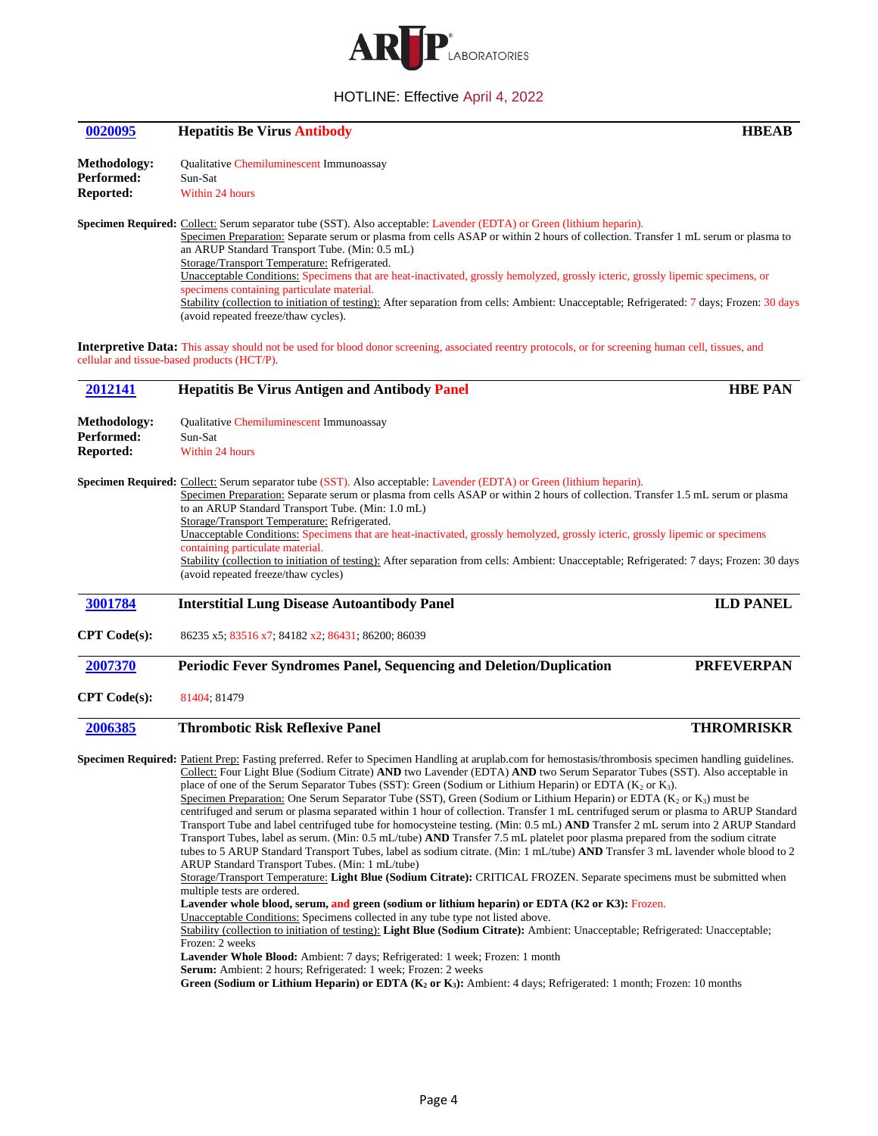

**0020095 Hepatitis Be Virus Antibody HBEAB**

| Qualitative Chemiluminescent Immunoassay<br>Sun-Sat<br>Within 24 hours                                                                                                                                                                                                                                                                                                                                                                                                                                                                                                                                                                                                                                                                                                                                                                                                                                                                                                                                                                                                                                                                                                                                                                                                                                                                                                                                                                                                                                                                                                                                                                                                                                                                 |                                                                                                                                                                                                                                                                                                      |  |  |
|----------------------------------------------------------------------------------------------------------------------------------------------------------------------------------------------------------------------------------------------------------------------------------------------------------------------------------------------------------------------------------------------------------------------------------------------------------------------------------------------------------------------------------------------------------------------------------------------------------------------------------------------------------------------------------------------------------------------------------------------------------------------------------------------------------------------------------------------------------------------------------------------------------------------------------------------------------------------------------------------------------------------------------------------------------------------------------------------------------------------------------------------------------------------------------------------------------------------------------------------------------------------------------------------------------------------------------------------------------------------------------------------------------------------------------------------------------------------------------------------------------------------------------------------------------------------------------------------------------------------------------------------------------------------------------------------------------------------------------------|------------------------------------------------------------------------------------------------------------------------------------------------------------------------------------------------------------------------------------------------------------------------------------------------------|--|--|
| Specimen Required: Collect: Serum separator tube (SST). Also acceptable: Lavender (EDTA) or Green (lithium heparin).<br>Specimen Preparation: Separate serum or plasma from cells ASAP or within 2 hours of collection. Transfer 1 mL serum or plasma to<br>an ARUP Standard Transport Tube. (Min: 0.5 mL)<br>Storage/Transport Temperature: Refrigerated.<br>Unacceptable Conditions: Specimens that are heat-inactivated, grossly hemolyzed, grossly icteric, grossly lipemic specimens, or<br>specimens containing particulate material.<br>Stability (collection to initiation of testing): After separation from cells: Ambient: Unacceptable; Refrigerated: 7 days; Frozen: 30 days<br>(avoid repeated freeze/thaw cycles).                                                                                                                                                                                                                                                                                                                                                                                                                                                                                                                                                                                                                                                                                                                                                                                                                                                                                                                                                                                                      |                                                                                                                                                                                                                                                                                                      |  |  |
| <b>Interpretive Data:</b> This assay should not be used for blood donor screening, associated reentry protocols, or for screening human cell, tissues, and                                                                                                                                                                                                                                                                                                                                                                                                                                                                                                                                                                                                                                                                                                                                                                                                                                                                                                                                                                                                                                                                                                                                                                                                                                                                                                                                                                                                                                                                                                                                                                             |                                                                                                                                                                                                                                                                                                      |  |  |
|                                                                                                                                                                                                                                                                                                                                                                                                                                                                                                                                                                                                                                                                                                                                                                                                                                                                                                                                                                                                                                                                                                                                                                                                                                                                                                                                                                                                                                                                                                                                                                                                                                                                                                                                        | <b>HBE PAN</b>                                                                                                                                                                                                                                                                                       |  |  |
| Qualitative Chemiluminescent Immunoassay<br>Sun-Sat<br>Within 24 hours                                                                                                                                                                                                                                                                                                                                                                                                                                                                                                                                                                                                                                                                                                                                                                                                                                                                                                                                                                                                                                                                                                                                                                                                                                                                                                                                                                                                                                                                                                                                                                                                                                                                 |                                                                                                                                                                                                                                                                                                      |  |  |
| Specimen Preparation: Separate serum or plasma from cells ASAP or within 2 hours of collection. Transfer 1.5 mL serum or plasma<br>to an ARUP Standard Transport Tube. (Min: 1.0 mL)<br>Storage/Transport Temperature: Refrigerated.<br>Unacceptable Conditions: Specimens that are heat-inactivated, grossly hemolyzed, grossly icteric, grossly lipemic or specimens<br>containing particulate material.<br>Stability (collection to initiation of testing): After separation from cells: Ambient: Unacceptable; Refrigerated: 7 days; Frozen: 30 days<br>(avoid repeated freeze/thaw cycles)                                                                                                                                                                                                                                                                                                                                                                                                                                                                                                                                                                                                                                                                                                                                                                                                                                                                                                                                                                                                                                                                                                                                        |                                                                                                                                                                                                                                                                                                      |  |  |
| <b>Interstitial Lung Disease Autoantibody Panel</b>                                                                                                                                                                                                                                                                                                                                                                                                                                                                                                                                                                                                                                                                                                                                                                                                                                                                                                                                                                                                                                                                                                                                                                                                                                                                                                                                                                                                                                                                                                                                                                                                                                                                                    | <b>ILD PANEL</b>                                                                                                                                                                                                                                                                                     |  |  |
| 86235 x5; 83516 x7; 84182 x2; 86431; 86200; 86039                                                                                                                                                                                                                                                                                                                                                                                                                                                                                                                                                                                                                                                                                                                                                                                                                                                                                                                                                                                                                                                                                                                                                                                                                                                                                                                                                                                                                                                                                                                                                                                                                                                                                      |                                                                                                                                                                                                                                                                                                      |  |  |
| Periodic Fever Syndromes Panel, Sequencing and Deletion/Duplication                                                                                                                                                                                                                                                                                                                                                                                                                                                                                                                                                                                                                                                                                                                                                                                                                                                                                                                                                                                                                                                                                                                                                                                                                                                                                                                                                                                                                                                                                                                                                                                                                                                                    | <b>PRFEVERPAN</b>                                                                                                                                                                                                                                                                                    |  |  |
| 81404; 81479                                                                                                                                                                                                                                                                                                                                                                                                                                                                                                                                                                                                                                                                                                                                                                                                                                                                                                                                                                                                                                                                                                                                                                                                                                                                                                                                                                                                                                                                                                                                                                                                                                                                                                                           |                                                                                                                                                                                                                                                                                                      |  |  |
| <b>Thrombotic Risk Reflexive Panel</b>                                                                                                                                                                                                                                                                                                                                                                                                                                                                                                                                                                                                                                                                                                                                                                                                                                                                                                                                                                                                                                                                                                                                                                                                                                                                                                                                                                                                                                                                                                                                                                                                                                                                                                 | <b>THROMRISKR</b>                                                                                                                                                                                                                                                                                    |  |  |
| Specimen Required: Patient Prep: Fasting preferred. Refer to Specimen Handling at aruplab.com for hemostasis/thrombosis specimen handling guidelines.<br>Collect: Four Light Blue (Sodium Citrate) AND two Lavender (EDTA) AND two Serum Separator Tubes (SST). Also acceptable in<br>place of one of the Serum Separator Tubes (SST): Green (Sodium or Lithium Heparin) or EDTA (K <sub>2</sub> or K <sub>3</sub> ).<br>Specimen Preparation: One Serum Separator Tube (SST), Green (Sodium or Lithium Heparin) or EDTA ( $K_2$ or $K_3$ ) must be<br>centrifuged and serum or plasma separated within 1 hour of collection. Transfer 1 mL centrifuged serum or plasma to ARUP Standard<br>Transport Tube and label centrifuged tube for homocysteine testing. (Min: 0.5 mL) AND Transfer 2 mL serum into 2 ARUP Standard<br>Transport Tubes, label as serum. (Min: 0.5 mL/tube) AND Transfer 7.5 mL platelet poor plasma prepared from the sodium citrate<br>tubes to 5 ARUP Standard Transport Tubes, label as sodium citrate. (Min: 1 mL/tube) AND Transfer 3 mL lavender whole blood to 2<br>ARUP Standard Transport Tubes. (Min: 1 mL/tube)<br>Storage/Transport Temperature: Light Blue (Sodium Citrate): CRITICAL FROZEN. Separate specimens must be submitted when<br>multiple tests are ordered.<br>Lavender whole blood, serum, and green (sodium or lithium heparin) or EDTA (K2 or K3): Frozen.<br>Unacceptable Conditions: Specimens collected in any tube type not listed above.<br>Stability (collection to initiation of testing): Light Blue (Sodium Citrate): Ambient: Unacceptable; Refrigerated: Unacceptable;<br>Frozen: 2 weeks<br>Lavender Whole Blood: Ambient: 7 days; Refrigerated: 1 week; Frozen: 1 month |                                                                                                                                                                                                                                                                                                      |  |  |
|                                                                                                                                                                                                                                                                                                                                                                                                                                                                                                                                                                                                                                                                                                                                                                                                                                                                                                                                                                                                                                                                                                                                                                                                                                                                                                                                                                                                                                                                                                                                                                                                                                                                                                                                        | cellular and tissue-based products (HCT/P).<br><b>Hepatitis Be Virus Antigen and Antibody Panel</b><br>Specimen Required: Collect: Serum separator tube (SST). Also acceptable: Lavender (EDTA) or Green (lithium heparin).<br><b>Serum:</b> Ambient: 2 hours; Refrigerated: 1 week; Frozen: 2 weeks |  |  |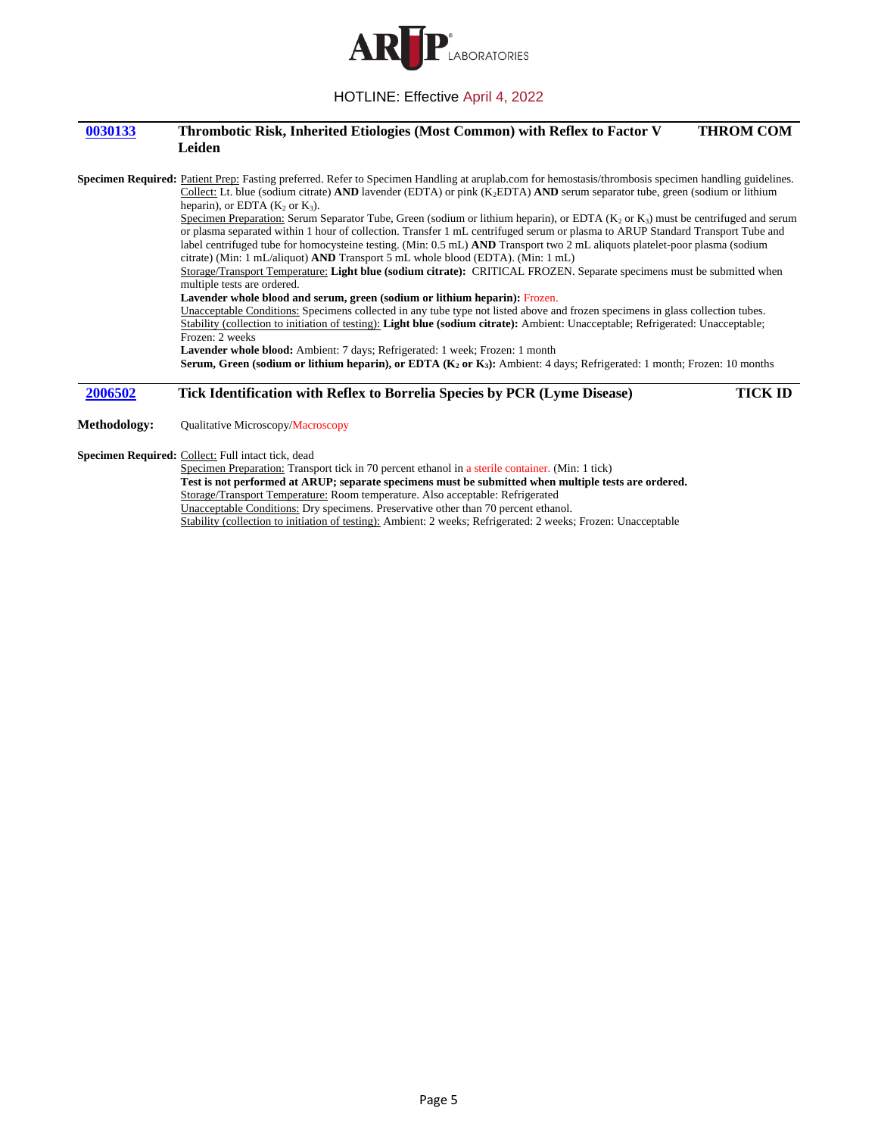

#### **0030133 Thrombotic Risk, Inherited Etiologies (Most Common) with Reflex to Factor V Leiden THROM COM**

**Specimen Required:** Patient Prep: Fasting preferred. Refer to Specimen Handling at aruplab.com for hemostasis/thrombosis specimen handling guidelines. Collect: Lt. blue (sodium citrate) **AND** lavender (EDTA) or pink (K2EDTA) **AND** serum separator tube, green (sodium or lithium heparin), or EDTA  $(K_2 \text{ or } K_3)$ . Specimen Preparation: Serum Separator Tube, Green (sodium or lithium heparin), or EDTA  $(K_2$  or  $K_3$ ) must be centrifuged and serum or plasma separated within 1 hour of collection. Transfer 1 mL centrifuged serum or plasma to ARUP Standard Transport Tube and label centrifuged tube for homocysteine testing. (Min: 0.5 mL) **AND** Transport two 2 mL aliquots platelet-poor plasma (sodium citrate) (Min: 1 mL/aliquot) **AND** Transport 5 mL whole blood (EDTA). (Min: 1 mL) Storage/Transport Temperature: **Light blue (sodium citrate):** CRITICAL FROZEN. Separate specimens must be submitted when multiple tests are ordered. **Lavender whole blood and serum, green (sodium or lithium heparin):** Frozen. Unacceptable Conditions: Specimens collected in any tube type not listed above and frozen specimens in glass collection tubes. Stability (collection to initiation of testing): **Light blue (sodium citrate):** Ambient: Unacceptable; Refrigerated: Unacceptable; Frozen: 2 weeks **Lavender whole blood:** Ambient: 7 days; Refrigerated: 1 week; Frozen: 1 month **Serum, Green (sodium or lithium heparin), or EDTA (K<sup>2</sup> or K3):** Ambient: 4 days; Refrigerated: 1 month; Frozen: 10 months

## **2006502 Tick Identification with Reflex to Borrelia Species by PCR (Lyme Disease) TICK ID**

**Methodology:** Qualitative Microscopy/Macroscopy

**Specimen Required:** Collect: Full intact tick, dead

Specimen Preparation: Transport tick in 70 percent ethanol in a sterile container. (Min: 1 tick) **Test is not performed at ARUP; separate specimens must be submitted when multiple tests are ordered.** Storage/Transport Temperature: Room temperature. Also acceptable: Refrigerated Unacceptable Conditions: Dry specimens. Preservative other than 70 percent ethanol. Stability (collection to initiation of testing): Ambient: 2 weeks; Refrigerated: 2 weeks; Frozen: Unacceptable